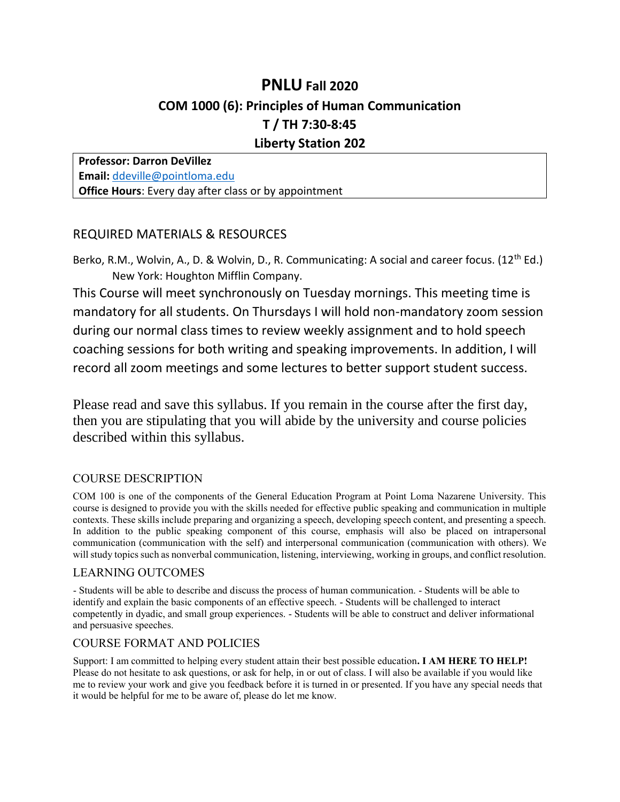# **PNLU Fall 2020 COM 1000 (6): Principles of Human Communication T / TH 7:30-8:45 Liberty Station 202**

**Professor: Darron DeVillez Email:** [ddeville@pointloma.edu](mailto:ddeville@pointloma.edu) **Office Hours**: Every day after class or by appointment

## REQUIRED MATERIALS & RESOURCES

Berko, R.M., Wolvin, A., D. & Wolvin, D., R. Communicating: A social and career focus. (12<sup>th</sup> Ed.) New York: Houghton Mifflin Company.

This Course will meet synchronously on Tuesday mornings. This meeting time is mandatory for all students. On Thursdays I will hold non-mandatory zoom session during our normal class times to review weekly assignment and to hold speech coaching sessions for both writing and speaking improvements. In addition, I will record all zoom meetings and some lectures to better support student success.

Please read and save this syllabus. If you remain in the course after the first day, then you are stipulating that you will abide by the university and course policies described within this syllabus.

## COURSE DESCRIPTION

COM 100 is one of the components of the General Education Program at Point Loma Nazarene University. This course is designed to provide you with the skills needed for effective public speaking and communication in multiple contexts. These skills include preparing and organizing a speech, developing speech content, and presenting a speech. In addition to the public speaking component of this course, emphasis will also be placed on intrapersonal communication (communication with the self) and interpersonal communication (communication with others). We will study topics such as nonverbal communication, listening, interviewing, working in groups, and conflict resolution.

#### LEARNING OUTCOMES

- Students will be able to describe and discuss the process of human communication. - Students will be able to identify and explain the basic components of an effective speech. - Students will be challenged to interact competently in dyadic, and small group experiences. - Students will be able to construct and deliver informational and persuasive speeches.

### COURSE FORMAT AND POLICIES

Support: I am committed to helping every student attain their best possible education**. I AM HERE TO HELP!** Please do not hesitate to ask questions, or ask for help, in or out of class. I will also be available if you would like me to review your work and give you feedback before it is turned in or presented. If you have any special needs that it would be helpful for me to be aware of, please do let me know.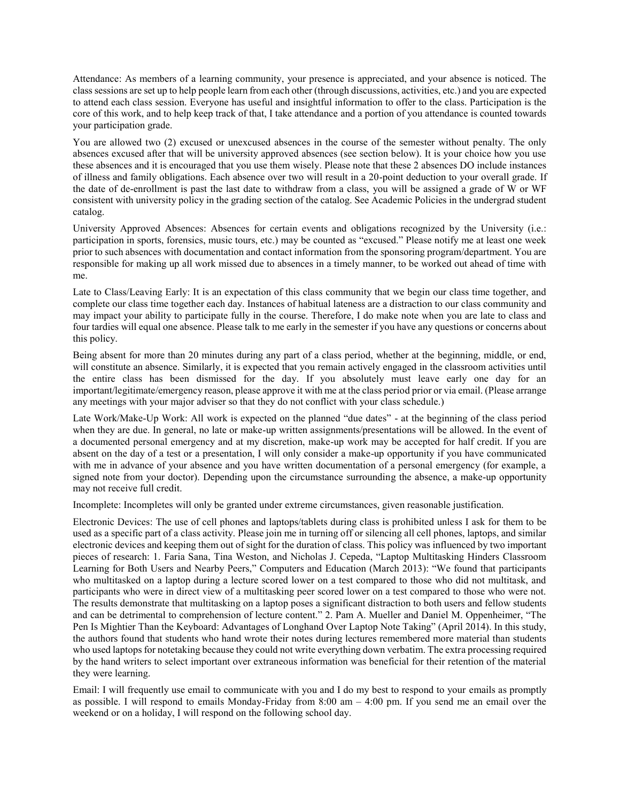Attendance: As members of a learning community, your presence is appreciated, and your absence is noticed. The class sessions are set up to help people learn from each other (through discussions, activities, etc.) and you are expected to attend each class session. Everyone has useful and insightful information to offer to the class. Participation is the core of this work, and to help keep track of that, I take attendance and a portion of you attendance is counted towards your participation grade.

You are allowed two (2) excused or unexcused absences in the course of the semester without penalty. The only absences excused after that will be university approved absences (see section below). It is your choice how you use these absences and it is encouraged that you use them wisely. Please note that these 2 absences DO include instances of illness and family obligations. Each absence over two will result in a 20-point deduction to your overall grade. If the date of de-enrollment is past the last date to withdraw from a class, you will be assigned a grade of W or WF consistent with university policy in the grading section of the catalog. See Academic Policies in the undergrad student catalog.

University Approved Absences: Absences for certain events and obligations recognized by the University (i.e.: participation in sports, forensics, music tours, etc.) may be counted as "excused." Please notify me at least one week prior to such absences with documentation and contact information from the sponsoring program/department. You are responsible for making up all work missed due to absences in a timely manner, to be worked out ahead of time with me.

Late to Class/Leaving Early: It is an expectation of this class community that we begin our class time together, and complete our class time together each day. Instances of habitual lateness are a distraction to our class community and may impact your ability to participate fully in the course. Therefore, I do make note when you are late to class and four tardies will equal one absence. Please talk to me early in the semester if you have any questions or concerns about this policy.

Being absent for more than 20 minutes during any part of a class period, whether at the beginning, middle, or end, will constitute an absence. Similarly, it is expected that you remain actively engaged in the classroom activities until the entire class has been dismissed for the day. If you absolutely must leave early one day for an important/legitimate/emergency reason, please approve it with me at the class period prior or via email. (Please arrange any meetings with your major adviser so that they do not conflict with your class schedule.)

Late Work/Make-Up Work: All work is expected on the planned "due dates" - at the beginning of the class period when they are due. In general, no late or make-up written assignments/presentations will be allowed. In the event of a documented personal emergency and at my discretion, make-up work may be accepted for half credit. If you are absent on the day of a test or a presentation, I will only consider a make-up opportunity if you have communicated with me in advance of your absence and you have written documentation of a personal emergency (for example, a signed note from your doctor). Depending upon the circumstance surrounding the absence, a make-up opportunity may not receive full credit.

Incomplete: Incompletes will only be granted under extreme circumstances, given reasonable justification.

Electronic Devices: The use of cell phones and laptops/tablets during class is prohibited unless I ask for them to be used as a specific part of a class activity. Please join me in turning off or silencing all cell phones, laptops, and similar electronic devices and keeping them out of sight for the duration of class. This policy was influenced by two important pieces of research: 1. Faria Sana, Tina Weston, and Nicholas J. Cepeda, "Laptop Multitasking Hinders Classroom Learning for Both Users and Nearby Peers," Computers and Education (March 2013): "We found that participants who multitasked on a laptop during a lecture scored lower on a test compared to those who did not multitask, and participants who were in direct view of a multitasking peer scored lower on a test compared to those who were not. The results demonstrate that multitasking on a laptop poses a significant distraction to both users and fellow students and can be detrimental to comprehension of lecture content." 2. Pam A. Mueller and Daniel M. Oppenheimer, "The Pen Is Mightier Than the Keyboard: Advantages of Longhand Over Laptop Note Taking" (April 2014). In this study, the authors found that students who hand wrote their notes during lectures remembered more material than students who used laptops for notetaking because they could not write everything down verbatim. The extra processing required by the hand writers to select important over extraneous information was beneficial for their retention of the material they were learning.

Email: I will frequently use email to communicate with you and I do my best to respond to your emails as promptly as possible. I will respond to emails Monday-Friday from 8:00 am – 4:00 pm. If you send me an email over the weekend or on a holiday, I will respond on the following school day.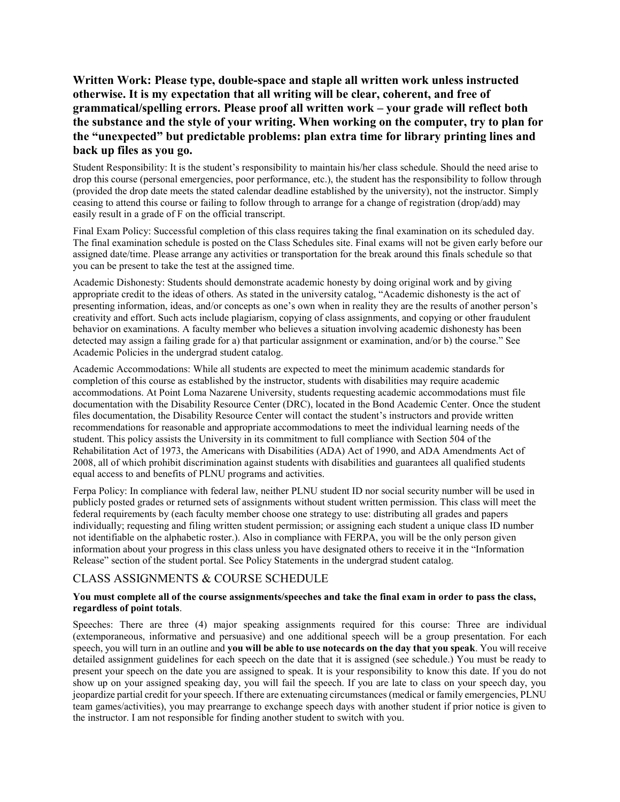**Written Work: Please type, double-space and staple all written work unless instructed otherwise. It is my expectation that all writing will be clear, coherent, and free of grammatical/spelling errors. Please proof all written work – your grade will reflect both the substance and the style of your writing. When working on the computer, try to plan for the "unexpected" but predictable problems: plan extra time for library printing lines and back up files as you go.**

Student Responsibility: It is the student's responsibility to maintain his/her class schedule. Should the need arise to drop this course (personal emergencies, poor performance, etc.), the student has the responsibility to follow through (provided the drop date meets the stated calendar deadline established by the university), not the instructor. Simply ceasing to attend this course or failing to follow through to arrange for a change of registration (drop/add) may easily result in a grade of F on the official transcript.

Final Exam Policy: Successful completion of this class requires taking the final examination on its scheduled day. The final examination schedule is posted on the Class Schedules site. Final exams will not be given early before our assigned date/time. Please arrange any activities or transportation for the break around this finals schedule so that you can be present to take the test at the assigned time.

Academic Dishonesty: Students should demonstrate academic honesty by doing original work and by giving appropriate credit to the ideas of others. As stated in the university catalog, "Academic dishonesty is the act of presenting information, ideas, and/or concepts as one's own when in reality they are the results of another person's creativity and effort. Such acts include plagiarism, copying of class assignments, and copying or other fraudulent behavior on examinations. A faculty member who believes a situation involving academic dishonesty has been detected may assign a failing grade for a) that particular assignment or examination, and/or b) the course." See Academic Policies in the undergrad student catalog.

Academic Accommodations: While all students are expected to meet the minimum academic standards for completion of this course as established by the instructor, students with disabilities may require academic accommodations. At Point Loma Nazarene University, students requesting academic accommodations must file documentation with the Disability Resource Center (DRC), located in the Bond Academic Center. Once the student files documentation, the Disability Resource Center will contact the student's instructors and provide written recommendations for reasonable and appropriate accommodations to meet the individual learning needs of the student. This policy assists the University in its commitment to full compliance with Section 504 of the Rehabilitation Act of 1973, the Americans with Disabilities (ADA) Act of 1990, and ADA Amendments Act of 2008, all of which prohibit discrimination against students with disabilities and guarantees all qualified students equal access to and benefits of PLNU programs and activities.

Ferpa Policy: In compliance with federal law, neither PLNU student ID nor social security number will be used in publicly posted grades or returned sets of assignments without student written permission. This class will meet the federal requirements by (each faculty member choose one strategy to use: distributing all grades and papers individually; requesting and filing written student permission; or assigning each student a unique class ID number not identifiable on the alphabetic roster.). Also in compliance with FERPA, you will be the only person given information about your progress in this class unless you have designated others to receive it in the "Information Release" section of the student portal. See Policy Statements in the undergrad student catalog.

### CLASS ASSIGNMENTS & COURSE SCHEDULE

#### **You must complete all of the course assignments/speeches and take the final exam in order to pass the class, regardless of point totals**.

Speeches: There are three (4) major speaking assignments required for this course: Three are individual (extemporaneous, informative and persuasive) and one additional speech will be a group presentation. For each speech, you will turn in an outline and **you will be able to use notecards on the day that you speak**. You will receive detailed assignment guidelines for each speech on the date that it is assigned (see schedule.) You must be ready to present your speech on the date you are assigned to speak. It is your responsibility to know this date. If you do not show up on your assigned speaking day, you will fail the speech. If you are late to class on your speech day, you jeopardize partial credit for your speech. If there are extenuating circumstances (medical or family emergencies, PLNU team games/activities), you may prearrange to exchange speech days with another student if prior notice is given to the instructor. I am not responsible for finding another student to switch with you.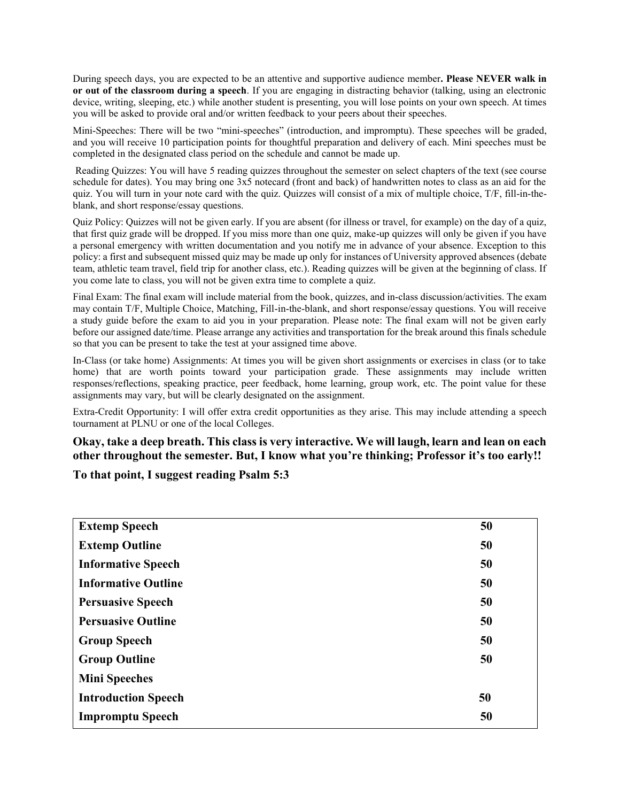During speech days, you are expected to be an attentive and supportive audience member**. Please NEVER walk in or out of the classroom during a speech**. If you are engaging in distracting behavior (talking, using an electronic device, writing, sleeping, etc.) while another student is presenting, you will lose points on your own speech. At times you will be asked to provide oral and/or written feedback to your peers about their speeches.

Mini-Speeches: There will be two "mini-speeches" (introduction, and impromptu). These speeches will be graded, and you will receive 10 participation points for thoughtful preparation and delivery of each. Mini speeches must be completed in the designated class period on the schedule and cannot be made up.

Reading Quizzes: You will have 5 reading quizzes throughout the semester on select chapters of the text (see course schedule for dates). You may bring one 3x5 notecard (front and back) of handwritten notes to class as an aid for the quiz. You will turn in your note card with the quiz. Quizzes will consist of a mix of multiple choice, T/F, fill-in-theblank, and short response/essay questions.

Quiz Policy: Quizzes will not be given early. If you are absent (for illness or travel, for example) on the day of a quiz, that first quiz grade will be dropped. If you miss more than one quiz, make-up quizzes will only be given if you have a personal emergency with written documentation and you notify me in advance of your absence. Exception to this policy: a first and subsequent missed quiz may be made up only for instances of University approved absences (debate team, athletic team travel, field trip for another class, etc.). Reading quizzes will be given at the beginning of class. If you come late to class, you will not be given extra time to complete a quiz.

Final Exam: The final exam will include material from the book, quizzes, and in-class discussion/activities. The exam may contain T/F, Multiple Choice, Matching, Fill-in-the-blank, and short response/essay questions. You will receive a study guide before the exam to aid you in your preparation. Please note: The final exam will not be given early before our assigned date/time. Please arrange any activities and transportation for the break around this finals schedule so that you can be present to take the test at your assigned time above.

In-Class (or take home) Assignments: At times you will be given short assignments or exercises in class (or to take home) that are worth points toward your participation grade. These assignments may include written responses/reflections, speaking practice, peer feedback, home learning, group work, etc. The point value for these assignments may vary, but will be clearly designated on the assignment.

Extra-Credit Opportunity: I will offer extra credit opportunities as they arise. This may include attending a speech tournament at PLNU or one of the local Colleges.

**Okay, take a deep breath. This class is very interactive. We will laugh, learn and lean on each other throughout the semester. But, I know what you're thinking; Professor it's too early!!**

**To that point, I suggest reading Psalm 5:3**

| <b>Extemp Speech</b>       | 50 |
|----------------------------|----|
| <b>Extemp Outline</b>      | 50 |
| <b>Informative Speech</b>  | 50 |
| <b>Informative Outline</b> | 50 |
| <b>Persuasive Speech</b>   | 50 |
| <b>Persuasive Outline</b>  | 50 |
| <b>Group Speech</b>        | 50 |
| <b>Group Outline</b>       | 50 |
| <b>Mini Speeches</b>       |    |
| <b>Introduction Speech</b> | 50 |
| <b>Impromptu Speech</b>    | 50 |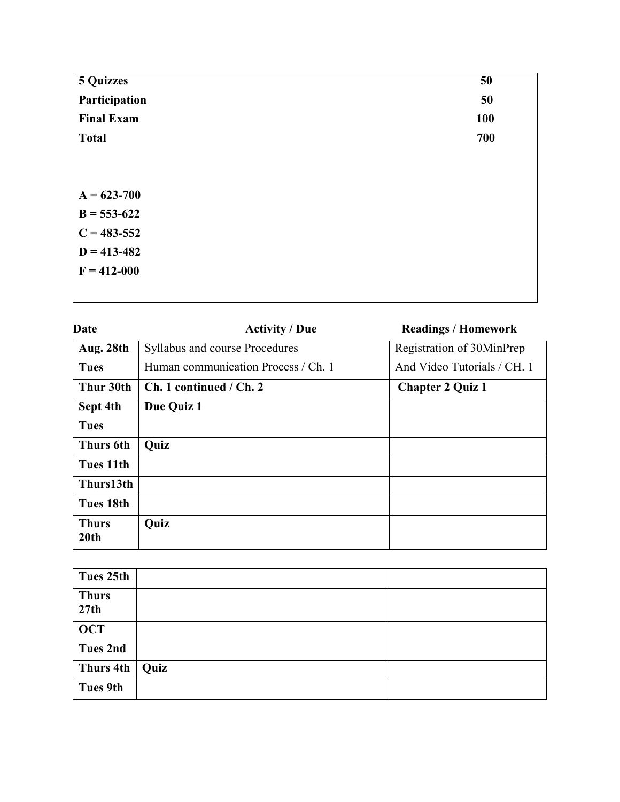| <b>5 Quizzes</b>  | 50  |
|-------------------|-----|
| Participation     | 50  |
| <b>Final Exam</b> | 100 |
| <b>Total</b>      | 700 |
|                   |     |
|                   |     |
| $A = 623 - 700$   |     |
| $B = 553-622$     |     |
| $C = 483 - 552$   |     |
| $D = 413 - 482$   |     |
| $F = 412 - 000$   |     |
|                   |     |

| Date                 | <b>Activity / Due</b>               | <b>Readings / Homework</b>  |
|----------------------|-------------------------------------|-----------------------------|
| Aug. 28th            | Syllabus and course Procedures      | Registration of 30MinPrep   |
| <b>Tues</b>          | Human communication Process / Ch. 1 | And Video Tutorials / CH. 1 |
| Thur 30th            | Ch. 1 continued / Ch. 2             | <b>Chapter 2 Quiz 1</b>     |
| Sept 4th             | Due Quiz 1                          |                             |
| <b>Tues</b>          |                                     |                             |
| Thurs 6th            | Quiz                                |                             |
| Tues 11th            |                                     |                             |
| Thurs13th            |                                     |                             |
| Tues 18th            |                                     |                             |
| <b>Thurs</b><br>20th | Quiz                                |                             |

| Tues 25th            |      |  |
|----------------------|------|--|
| <b>Thurs</b><br>27th |      |  |
| OCT                  |      |  |
| <b>Tues 2nd</b>      |      |  |
| Thurs 4th            | Quiz |  |
| <b>Tues 9th</b>      |      |  |